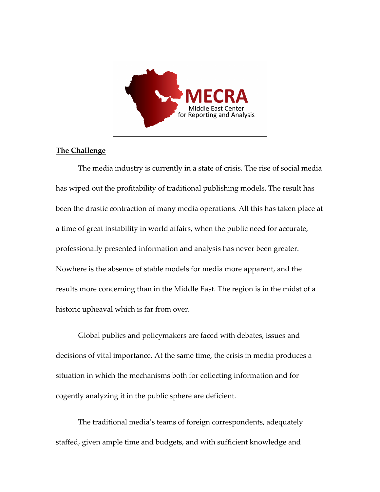

## **The Challenge**

The media industry is currently in a state of crisis. The rise of social media has wiped out the profitability of traditional publishing models. The result has been the drastic contraction of many media operations. All this has taken place at a time of great instability in world affairs, when the public need for accurate, professionally presented information and analysis has never been greater. Nowhere is the absence of stable models for media more apparent, and the results more concerning than in the Middle East. The region is in the midst of a historic upheaval which is far from over.

Global publics and policymakers are faced with debates, issues and decisions of vital importance. At the same time, the crisis in media produces a situation in which the mechanisms both for collecting information and for cogently analyzing it in the public sphere are deficient.

The traditional media's teams of foreign correspondents, adequately staffed, given ample time and budgets, and with sufficient knowledge and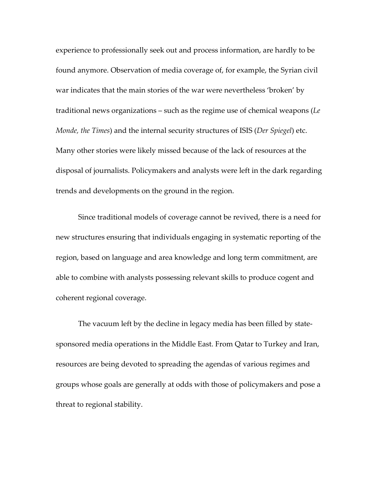experience to professionally seek out and process information, are hardly to be found anymore. Observation of media coverage of, for example, the Syrian civil war indicates that the main stories of the war were nevertheless 'broken' by traditional news organizations – such as the regime use of chemical weapons (*Le Monde, the Times*) and the internal security structures of ISIS (*Der Spiegel*) etc. Many other stories were likely missed because of the lack of resources at the disposal of journalists. Policymakers and analysts were left in the dark regarding trends and developments on the ground in the region.

Since traditional models of coverage cannot be revived, there is a need for new structures ensuring that individuals engaging in systematic reporting of the region, based on language and area knowledge and long term commitment, are able to combine with analysts possessing relevant skills to produce cogent and coherent regional coverage.

The vacuum left by the decline in legacy media has been filled by statesponsored media operations in the Middle East. From Qatar to Turkey and Iran, resources are being devoted to spreading the agendas of various regimes and groups whose goals are generally at odds with those of policymakers and pose a threat to regional stability.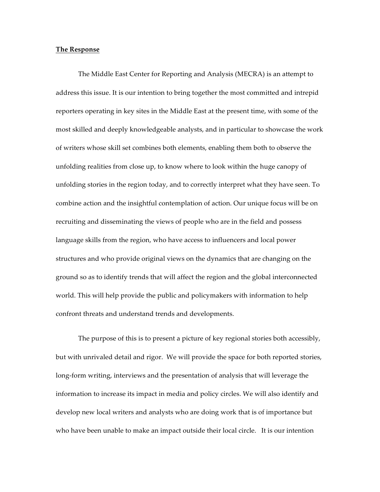## **The Response**

The Middle East Center for Reporting and Analysis (MECRA) is an attempt to address this issue. It is our intention to bring together the most committed and intrepid reporters operating in key sites in the Middle East at the present time, with some of the most skilled and deeply knowledgeable analysts, and in particular to showcase the work of writers whose skill set combines both elements, enabling them both to observe the unfolding realities from close up, to know where to look within the huge canopy of unfolding stories in the region today, and to correctly interpret what they have seen. To combine action and the insightful contemplation of action. Our unique focus will be on recruiting and disseminating the views of people who are in the field and possess language skills from the region, who have access to influencers and local power structures and who provide original views on the dynamics that are changing on the ground so as to identify trends that will affect the region and the global interconnected world. This will help provide the public and policymakers with information to help confront threats and understand trends and developments.

The purpose of this is to present a picture of key regional stories both accessibly, but with unrivaled detail and rigor. We will provide the space for both reported stories, long-form writing, interviews and the presentation of analysis that will leverage the information to increase its impact in media and policy circles. We will also identify and develop new local writers and analysts who are doing work that is of importance but who have been unable to make an impact outside their local circle. It is our intention